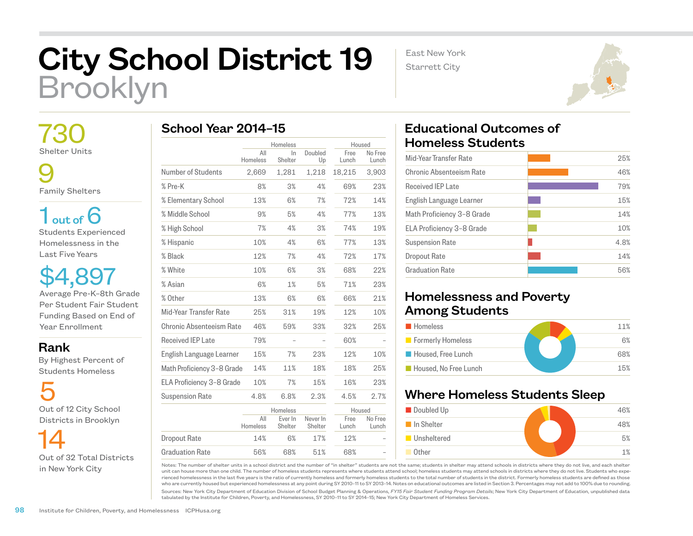## City School District 19 Brooklyn

East New York Starrett City



9

Family Shelters

 $1<sub>out of</sub> 6$ Students Experienced Homelessness in the Last Five Years

\$4,897 Average Pre-K–8th Grade Per Student Fair Student Funding Based on End of Year Enrollment

Rank

 By Highest Percent of Students Homeless

5 Out of 12 City School Districts in Brooklyn

 14 Out of 32 Total Districts in New York City

|  | School Year 2014-15 |  |
|--|---------------------|--|
|  |                     |  |

|                            | Homeless        |                    | Housed              |               |                  |
|----------------------------|-----------------|--------------------|---------------------|---------------|------------------|
|                            | All<br>Homeless | ln.<br>Shelter     | Doubled<br>Up       | Free<br>Lunch | No Free<br>Lunch |
| Number of Students         | 2,669           | 1,281              | 1,218               | 18,215        | 3,903            |
| % Pre-K                    | 8%              | 3%                 | 4%                  | 69%           | 23%              |
| % Elementary School        | 13%             | 6%                 | 7%                  | 72%           | 14%              |
| % Middle School            | 9%              | 5%                 | 4%                  | 77%           | 13%              |
| % High School              | 7%              | 4%                 | 3%                  | 74%           | 19%              |
| % Hispanic                 | 10%             | 4%                 | 6%                  | 77%           | 13%              |
| % Black                    | 12%             | 7%                 | 4%                  | 72%           | 17%              |
| % White                    | 10%             | 6%                 | 3%                  | 68%           | 22%              |
| % Asian                    | 6%              | 1%                 | 5%                  | 71%           | 23%              |
| % Other                    | 13%             | 6%                 | 6%                  | 66%           | 21%              |
| Mid-Year Transfer Rate     | 25%             | 31%                | 19%                 | 12%           | 10%              |
| Chronic Absenteeism Rate   | 46%             | 59%                | 33%                 | 32%           | 25%              |
| Received IEP Late          | 79%             |                    |                     | 60%           |                  |
| English Language Learner   | 15%             | 7%                 | 23%                 | 12%           | 10%              |
| Math Proficiency 3-8 Grade | 14%             | 11%                | 18%                 | 18%           | 25%              |
| ELA Proficiency 3-8 Grade  | 10%             | 7%                 | 15%                 | 16%           | 23%              |
| <b>Suspension Rate</b>     | 4.8%            | 6.8%               | 2.3%                | 4.5%          | 2.7%             |
|                            |                 | Homeless           |                     | Housed        |                  |
|                            | All<br>Homeless | Ever In<br>Shelter | Never In<br>Shelter | Free<br>Lunch | No Free<br>Lunch |
| <b>Dropout Rate</b>        | 14%             | 6%                 | 17%                 | 12%           |                  |
| <b>Graduation Rate</b>     | 56%             | 68%                | 51%                 | 68%           |                  |

## Educational Outcomes of Homeless Students

| Mid-Year Transfer Rate     | 25%  |
|----------------------------|------|
| Chronic Absenteeism Rate   | 46%  |
| <b>Received IEP Late</b>   | 79%  |
| English Language Learner   | 15%  |
| Math Proficiency 3-8 Grade | 14%  |
| ELA Proficiency 3-8 Grade  | 10%  |
| <b>Suspension Rate</b>     | 4.8% |
| Dropout Rate               | 14%  |
| <b>Graduation Rate</b>     | 56%  |
|                            |      |

## Homelessness and Poverty Among Students

| <b>Homeless</b>       | 11% |
|-----------------------|-----|
| Formerly Homeless     | 6%  |
| Housed, Free Lunch    | 68% |
| Housed. No Free Lunch | 15% |

## Where Homeless Students Sleep



Notes: The number of shelter units in a school district and the number of "in shelter" students are not the same; students in shelter may attend schools in districts where they do not live, and each shelter unit can house more than one child. The number of homeless students represents where students attend school; homeless students may attend schools in districts where they do not live. Students who experienced homelessness in the last five years is the ratio of currently homeless and formerly homeless students to the total number of students in the district. Formerly homeless students are defined as those who are currently housed but experienced homelessness at any point during SY 2010–11 to SY 2013–14. Notes on educational outcomes are listed in Section 3. Percentages may not add to 100% due to rounding.

Sources: New York City Department of Education Division of School Budget Planning & Operations, *FY15 Fair Student Funding Program Details*; New York City Department of Education, unpublished data tabulated by the Institute for Children, Poverty, and Homelessness, SY 2010–11 to SY 2014–15; New York City Department of Homeless Services.